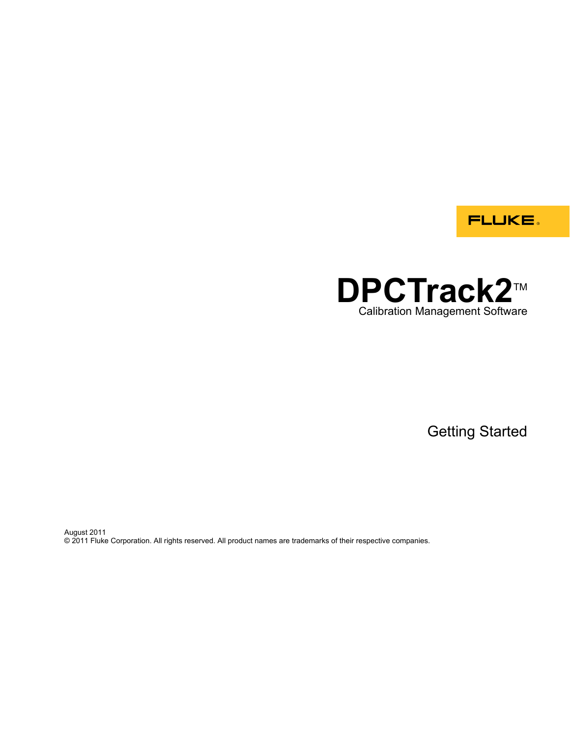**FLUKE** 

# **DPCTrack2™** Calibration Management Software

Getting Started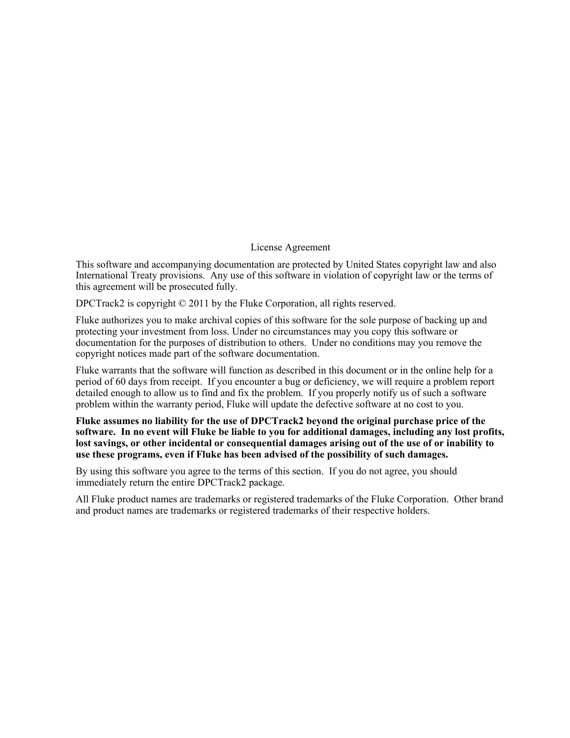## License Agreement

This software and accompanying documentation are protected by United States copyright law and also International Treaty provisions. Any use of this software in violation of copyright law or the terms of this agreement will be prosecuted fully.

DPCTrack2 is copyright © 2011 by the Fluke Corporation, all rights reserved.

Fluke authorizes you to make archival copies of this software for the sole purpose of backing up and protecting your investment from loss. Under no circumstances may you copy this software or documentation for the purposes of distribution to others. Under no conditions may you remove the copyright notices made part of the software documentation.

Fluke warrants that the software will function as described in this document or in the online help for a period of 60 days from receipt. If you encounter a bug or deficiency, we will require a problem report detailed enough to allow us to find and fix the problem. If you properly notify us of such a software problem within the warranty period, Fluke will update the defective software at no cost to you.

**Fluke assumes no liability for the use of DPCTrack2 beyond the original purchase price of the software. In no event will Fluke be liable to you for additional damages, including any lost profits, lost savings, or other incidental or consequential damages arising out of the use of or inability to use these programs, even if Fluke has been advised of the possibility of such damages.** 

By using this software you agree to the terms of this section. If you do not agree, you should immediately return the entire DPCTrack2 package.

All Fluke product names are trademarks or registered trademarks of the Fluke Corporation. Other brand and product names are trademarks or registered trademarks of their respective holders.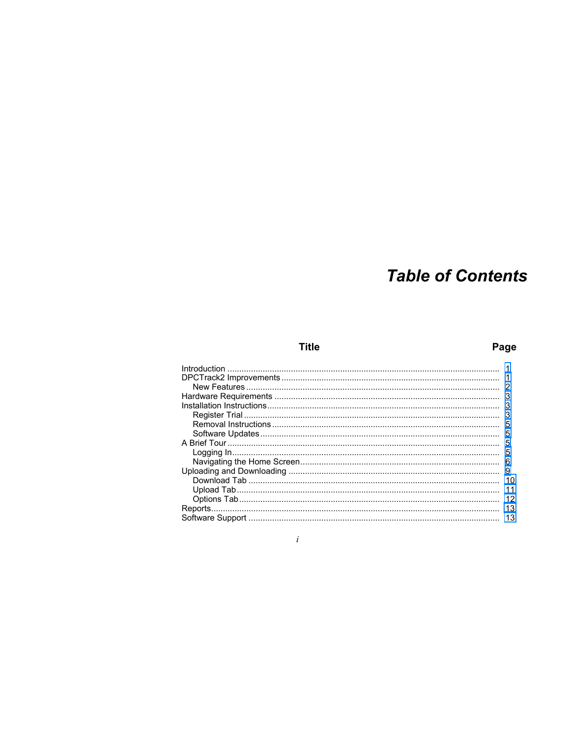# **Table of Contents**

## **Title**

## Page

| 3  |
|----|
| 3  |
| 5  |
| 5  |
|    |
| 5  |
| 6  |
| 9  |
| 10 |
|    |
| 12 |
| 13 |
| 13 |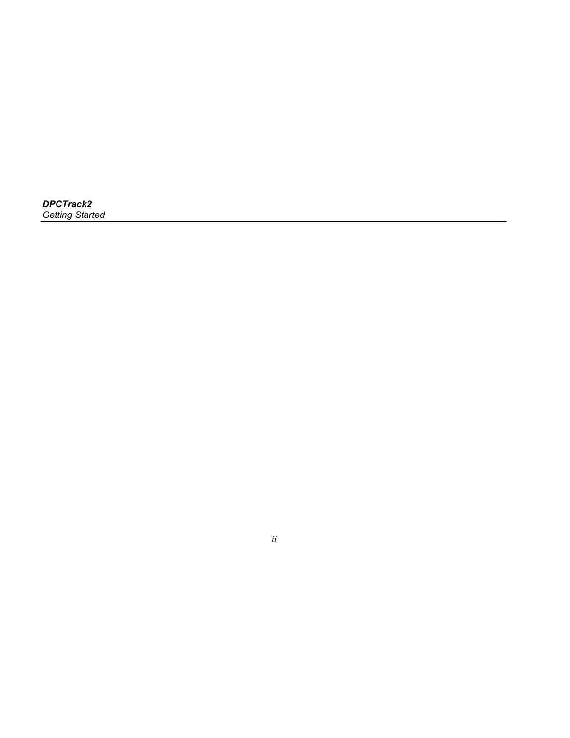| <b>DPCTrack2</b>       |  |
|------------------------|--|
| <b>Getting Started</b> |  |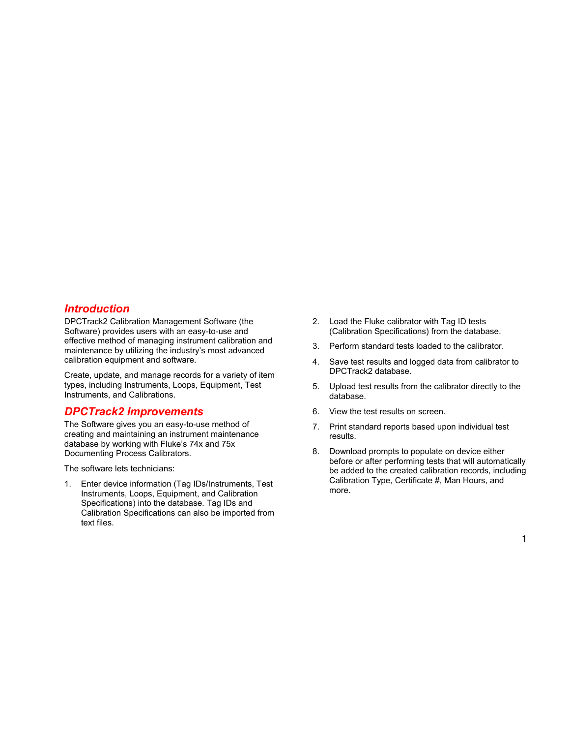## <span id="page-4-0"></span>*Introduction*

DPCTrack2 Calibration Management Software (the Software) provides users with an easy-to-use and effective method of managing instrument calibration and maintenance by utilizing the industry's most advanced calibration equipment and software.

Create, update, and manage records for a variety of item types, including Instruments, Loops, Equipment, Test Instruments, and Calibrations.

## *DPCTrack2 Improvements*

The Software gives you an easy-to-use method of creating and maintaining an instrument maintenance database by working with Fluke's 74x and 75x Documenting Process Calibrators.

The software lets technicians:

1. Enter device information (Tag IDs/Instruments, Test Instruments, Loops, Equipment, and Calibration Specifications) into the database. Tag IDs and Calibration Specifications can also be imported from text files.

- 2. Load the Fluke calibrator with Tag ID tests (Calibration Specifications) from the database.
- 3. Perform standard tests loaded to the calibrator.
- 4. Save test results and logged data from calibrator to DPCTrack2 database.
- 5. Upload test results from the calibrator directly to the database.
- 6. View the test results on screen.
- 7. Print standard reports based upon individual test results.
- 8. Download prompts to populate on device either before or after performing tests that will automatically be added to the created calibration records, including Calibration Type, Certificate #, Man Hours, and more.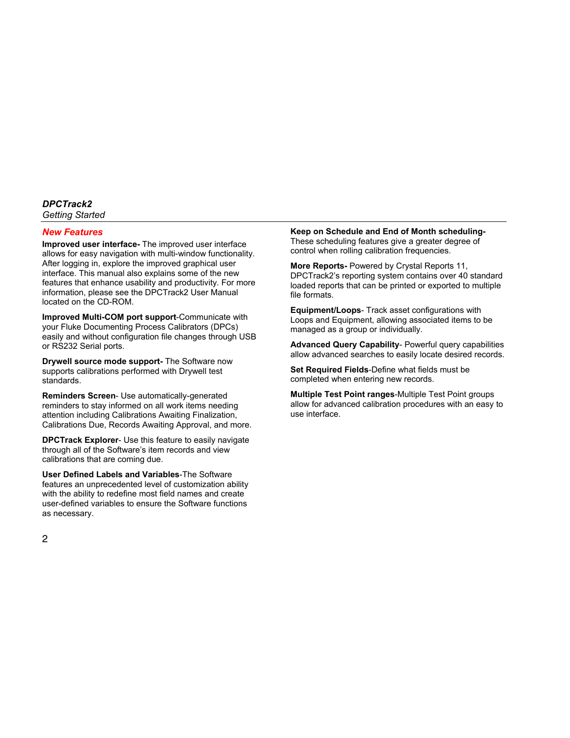### <span id="page-5-0"></span>*New Features*

**Improved user interface-** The improved user interface allows for easy navigation with multi-window functionality. After logging in, explore the improved graphical user interface. This manual also explains some of the new features that enhance usability and productivity. For more information, please see the DPCTrack2 User Manual located on the CD-ROM.

**Improved Multi-COM port support**-Communicate with your Fluke Documenting Process Calibrators (DPCs) easily and without configuration file changes through USB or RS232 Serial ports.

**Drywell source mode support-** The Software now supports calibrations performed with Drywell test standards.

**Reminders Screen**- Use automatically-generated reminders to stay informed on all work items needing attention including Calibrations Awaiting Finalization, Calibrations Due, Records Awaiting Approval, and more.

**DPCTrack Explorer**- Use this feature to easily navigate through all of the Software's item records and view calibrations that are coming due.

**User Defined Labels and Variables**-The Software features an unprecedented level of customization ability with the ability to redefine most field names and create user-defined variables to ensure the Software functions as necessary.

**Keep on Schedule and End of Month scheduling-**These scheduling features give a greater degree of control when rolling calibration frequencies.

**More Reports-** Powered by Crystal Reports 11, DPCTrack2's reporting system contains over 40 standard loaded reports that can be printed or exported to multiple file formats.

**Equipment/Loops-** Track asset configurations with Loops and Equipment, allowing associated items to be managed as a group or individually.

**Advanced Query Capability**- Powerful query capabilities allow advanced searches to easily locate desired records.

**Set Required Fields**-Define what fields must be completed when entering new records.

**Multiple Test Point ranges**-Multiple Test Point groups allow for advanced calibration procedures with an easy to use interface.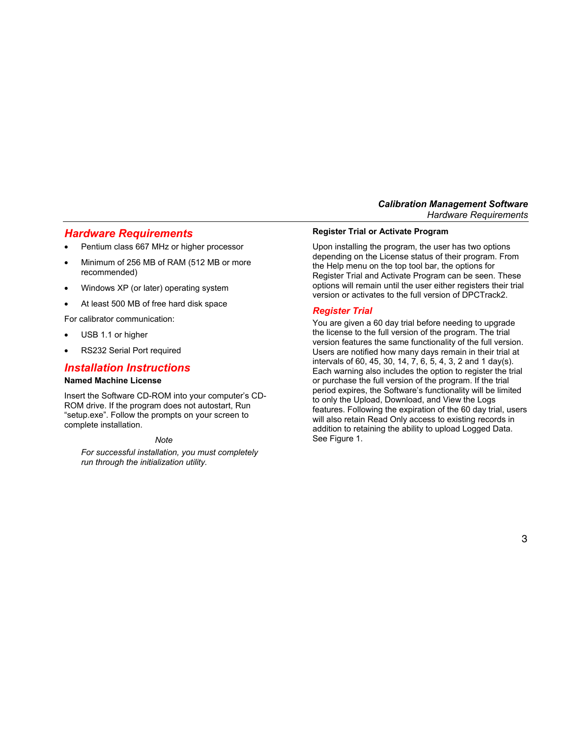## <span id="page-6-0"></span>*Hardware Requirements*

- Pentium class 667 MHz or higher processor
- Minimum of 256 MB of RAM (512 MB or more recommended)
- Windows XP (or later) operating system
- At least 500 MB of free hard disk space

For calibrator communication:

- USB 1.1 or higher
- RS232 Serial Port required

## *Installation Instructions*

#### **Named Machine License**

Insert the Software CD-ROM into your computer's CD-ROM drive. If the program does not autostart, Run "setup.exe". Follow the prompts on your screen to complete installation.

#### *Note*

*For successful installation, you must completely run through the initialization utility.* 

#### **Register Trial or Activate Program**

Upon installing the program, the user has two options depending on the License status of their program. From the Help menu on the top tool bar, the options for Register Trial and Activate Program can be seen. These options will remain until the user either registers their trial version or activates to the full version of DPCTrack2.

#### *Register Trial*

You are given a 60 day trial before needing to upgrade the license to the full version of the program. The trial version features the same functionality of the full version. Users are notified how many days remain in their trial at intervals of 60, 45, 30, 14, 7, 6, 5, 4, 3, 2 and 1 day(s). Each warning also includes the option to register the trial or purchase the full version of the program. If the trial period expires, the Software's functionality will be limited to only the Upload, Download, and View the Logs features. Following the expiration of the 60 day trial, users will also retain Read Only access to existing records in addition to retaining the ability to upload Logged Data. See Figure 1.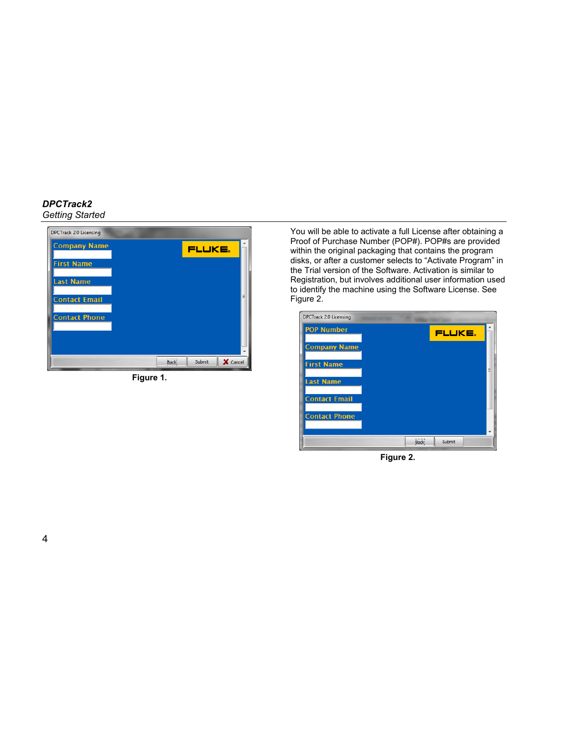| <b>DPCTrack 2.0 Licensing</b> |             |        |          |
|-------------------------------|-------------|--------|----------|
| <b>Company Name</b>           |             | FLUKE. |          |
| <b>First Name</b>             |             |        |          |
| <b>Last Name</b>              |             |        |          |
| <b>Contact Email</b>          |             |        |          |
| <b>Contact Phone</b>          |             |        |          |
|                               |             |        |          |
|                               |             |        |          |
|                               | <b>Back</b> | Submit | X Cancel |

**Figure 1.** 

You will be able to activate a full License after obtaining a Proof of Purchase Number (POP#). POP#s are provided within the original packaging that contains the program disks, or after a customer selects to "Activate Program" in the Trial version of the Software. Activation is similar to Registration, but involves additional user information used to identify the machine using the Software License. See Figure 2.



**Figure 2.**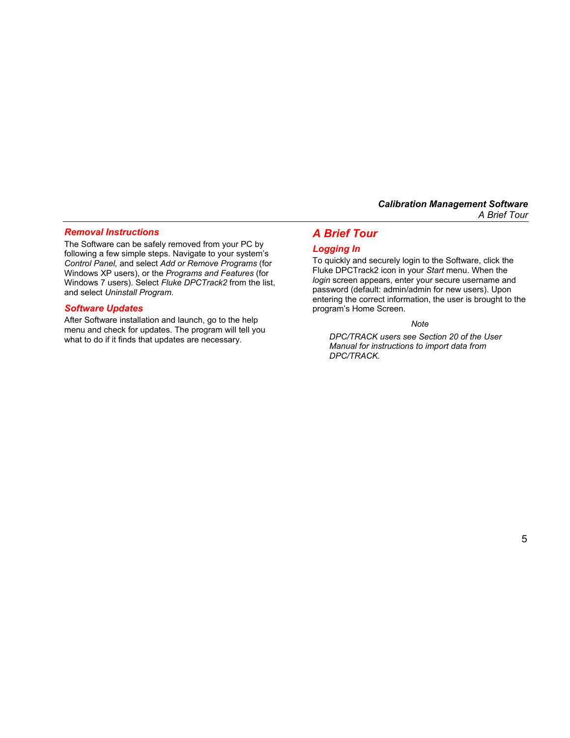## <span id="page-8-0"></span>*Removal Instructions*

The Software can be safely removed from your PC by following a few simple steps. Navigate to your system's *Control Panel,* and select *Add or Remove Programs* (for Windows XP users), or the *Programs and Features* (for Windows 7 users). Select *Fluke DPCTrack2* from the list, and select *Uninstall Program*.

## *Software Updates*

After Software installation and launch, go to the help menu and check for updates. The program will tell you what to do if it finds that updates are necessary.

## *A Brief Tour*

## *Logging In*

To quickly and securely login to the Software, click the Fluke DPCTrack2 icon in your *Start* menu. When the *login* screen appears, enter your secure username and password (default: admin/admin for new users). Upon entering the correct information, the user is brought to the program's Home Screen.

#### *Note*

*DPC/TRACK users see Section 20 of the User Manual for instructions to import data from DPC/TRACK.*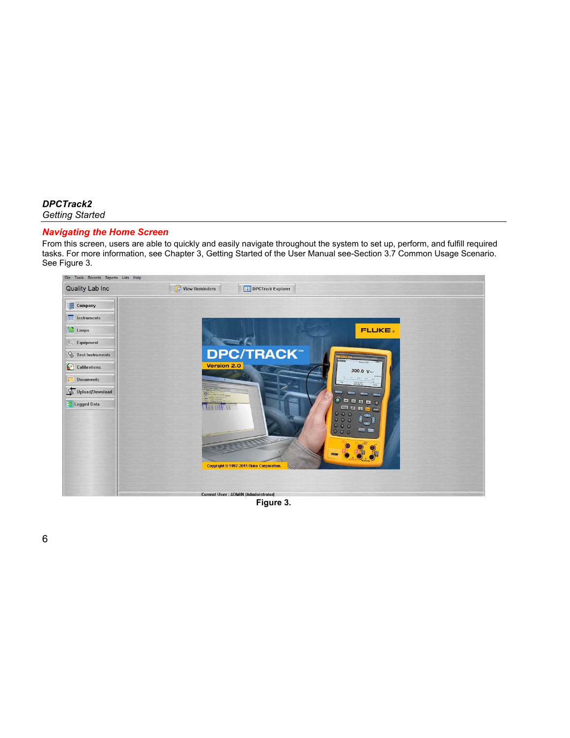### <span id="page-9-0"></span>*Navigating the Home Screen*

From this screen, users are able to quickly and easily navigate throughout the system to set up, perform, and fulfill required tasks. For more information, see Chapter 3, Getting Started of the User Manual see-Section 3.7 Common Usage Scenario. See Figure 3.



 **Figure 3.**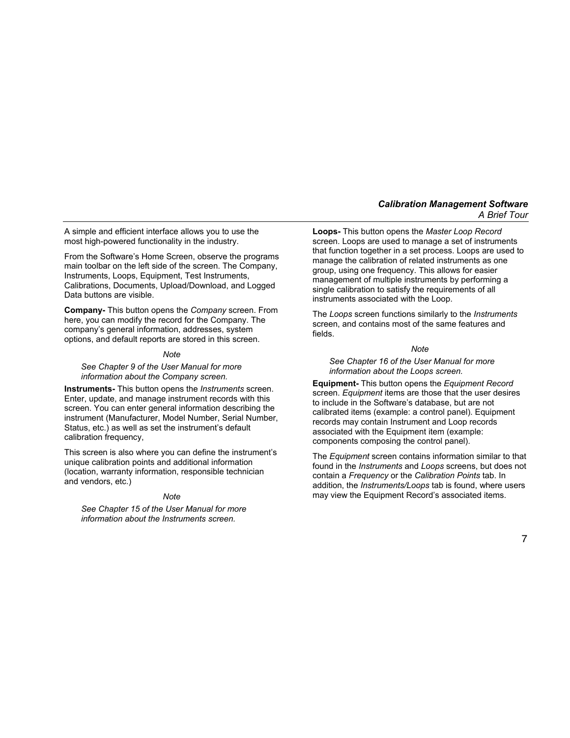A simple and efficient interface allows you to use the most high-powered functionality in the industry.

From the Software's Home Screen, observe the programs main toolbar on the left side of the screen. The Company, Instruments, Loops, Equipment, Test Instruments, Calibrations, Documents, Upload/Download, and Logged Data buttons are visible.

**Company-** This button opens the *Company* screen. From here, you can modify the record for the Company. The company's general information, addresses, system options, and default reports are stored in this screen.

#### *Note*

#### *See Chapter 9 of the User Manual for more information about the Company screen.*

**Instruments-** This button opens the *Instruments* screen. Enter, update, and manage instrument records with this screen. You can enter general information describing the instrument (Manufacturer, Model Number, Serial Number, Status, etc.) as well as set the instrument's default calibration frequency,

This screen is also where you can define the instrument's unique calibration points and additional information (location, warranty information, responsible technician and vendors, etc.)

#### *Note*

*See Chapter 15 of the User Manual for more information about the Instruments screen.* 

**Loops-** This button opens the *Master Loop Record*  screen. Loops are used to manage a set of instruments that function together in a set process. Loops are used to manage the calibration of related instruments as one group, using one frequency. This allows for easier management of multiple instruments by performing a single calibration to satisfy the requirements of all instruments associated with the Loop.

The *Loops* screen functions similarly to the *Instruments* screen, and contains most of the same features and fields.

#### *Note*

#### *See Chapter 16 of the User Manual for more information about the Loops screen.*

**Equipment-** This button opens the *Equipment Record*  screen. *Equipment* items are those that the user desires to include in the Software's database, but are not calibrated items (example: a control panel). Equipment records may contain Instrument and Loop records associated with the Equipment item (example: components composing the control panel).

The *Equipment* screen contains information similar to that found in the *Instruments* and *Loops* screens, but does not contain a *Frequency* or the *Calibration Points* tab. In addition, the *Instruments/Loops* tab is found, where users may view the Equipment Record's associated items.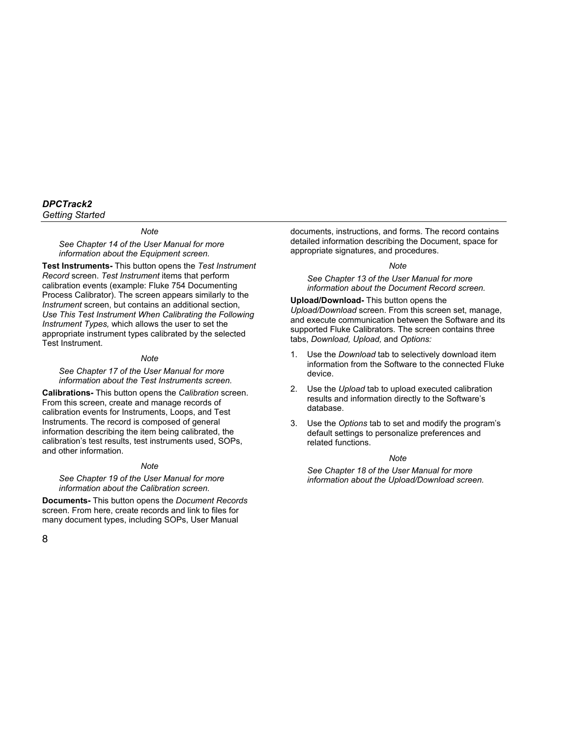*Note* 

*See Chapter 14 of the User Manual for more information about the Equipment screen.* 

**Test Instruments-** This button opens the *Test Instrument Record* screen. *Test Instrument* items that perform calibration events (example: Fluke 754 Documenting Process Calibrator). The screen appears similarly to the *Instrument* screen, but contains an additional section, *Use This Test Instrument When Calibrating the Following Instrument Types,* which allows the user to set the appropriate instrument types calibrated by the selected Test Instrument.

#### *Note*

*See Chapter 17 of the User Manual for more information about the Test Instruments screen.* 

**Calibrations-** This button opens the *Calibration* screen. From this screen, create and manage records of calibration events for Instruments, Loops, and Test Instruments. The record is composed of general information describing the item being calibrated, the calibration's test results, test instruments used, SOPs, and other information.

#### *Note*

#### *See Chapter 19 of the User Manual for more information about the Calibration screen.*

**Documents-** This button opens the *Document Records*  screen. From here, create records and link to files for many document types, including SOPs, User Manual

documents, instructions, and forms. The record contains detailed information describing the Document, space for appropriate signatures, and procedures.

#### *Note*

*See Chapter 13 of the User Manual for more information about the Document Record screen.* 

**Upload/Download-** This button opens the *Upload/Download* screen. From this screen set, manage, and execute communication between the Software and its supported Fluke Calibrators. The screen contains three tabs, *Download, Upload,* and *Options:*

- 1. Use the *Download* tab to selectively download item information from the Software to the connected Fluke device.
- 2. Use the *Upload* tab to upload executed calibration results and information directly to the Software's database.
- 3. Use the *Options* tab to set and modify the program's default settings to personalize preferences and related functions.

#### *Note*

*See Chapter 18 of the User Manual for more information about the Upload/Download screen.*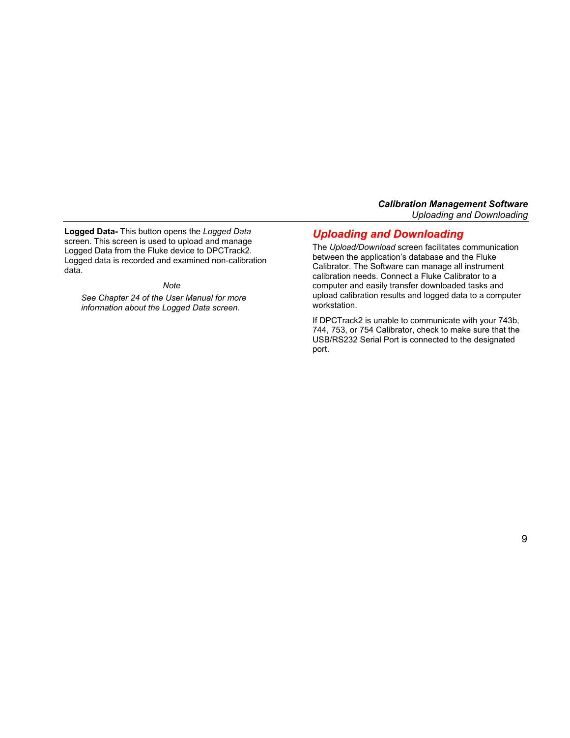<span id="page-12-0"></span>**Logged Data-** This button opens the *Logged Data*  screen. This screen is used to upload and manage Logged Data from the Fluke device to DPCTrack2. Logged data is recorded and examined non-calibration data.

#### *Note*

*See Chapter 24 of the User Manual for more information about the Logged Data screen.* 

## *Uploading and Downloading*

The *Upload/Download* screen facilitates communication between the application's database and the Fluke Calibrator. The Software can manage all instrument calibration needs. Connect a Fluke Calibrator to a computer and easily transfer downloaded tasks and upload calibration results and logged data to a computer workstation.

If DPCTrack2 is unable to communicate with your 743b, 744, 753, or 754 Calibrator, check to make sure that the USB/RS232 Serial Port is connected to the designated port.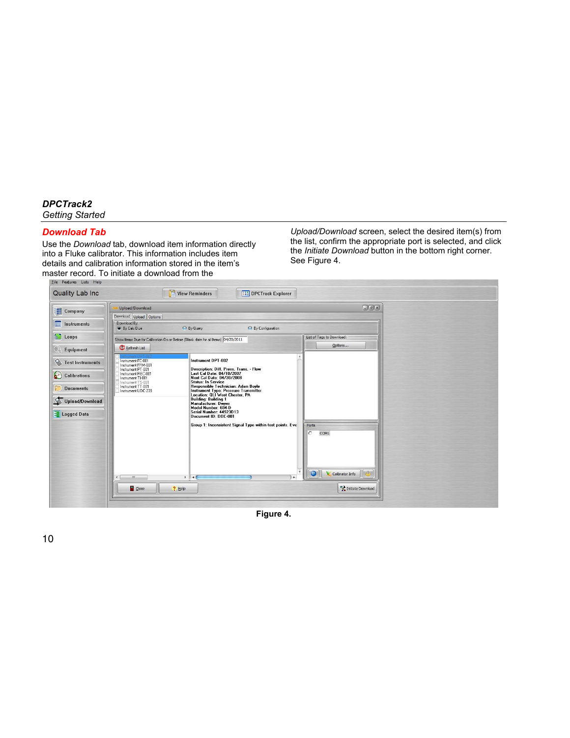## <span id="page-13-0"></span>*Download Tab*

Use the *Download* tab, download item information directly into a Fluke calibrator. This information includes item details and calibration information stored in the item's master record. To initiate a download from the

*Upload/Download* screen, select the desired item(s) from the list, confirm the appropriate port is selected, and click the *Initiate Download* button in the bottom right corner. See Figure 4.



**Figure 4.**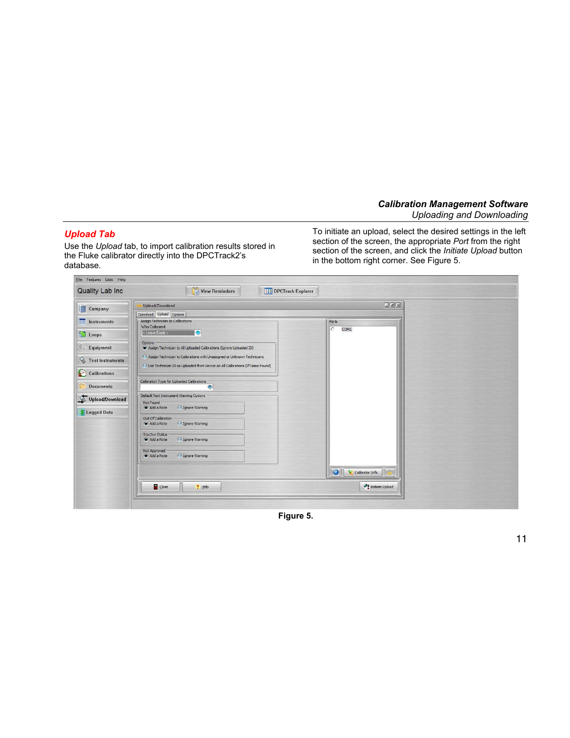## <span id="page-14-0"></span>*Upload Tab*

Use the *Upload* tab, to import calibration results stored in the Fluke calibrator directly into the DPCTrack2's database.

To initiate an upload, select the desired settings in the left section of the screen, the appropriate *Port* from the right section of the screen, and click the *Initiate Upload* button in the bottom right corner. See Figure 5.

| Upload/Download                                                                                                                                             | $E =$                        |
|-------------------------------------------------------------------------------------------------------------------------------------------------------------|------------------------------|
| Download Upload Options                                                                                                                                     |                              |
| Assign Technician to Calibrations<br>Who Calibrated                                                                                                         | - Ports                      |
| ۰<br>< Leave Blank >                                                                                                                                        | C<br>COM1                    |
| Options<br>Assign Technician to All Uploaded Calibrations (Ignore Uploaded ID)                                                                              |                              |
| Assign Technician to Calibrations with Unassigned or Unknown Technicians<br>O Use Technician ID as Uploaded from Device on All Calibrations (If Name Found) |                              |
|                                                                                                                                                             |                              |
| Calibration Type for Uploaded Calibrations<br>$\bullet$                                                                                                     |                              |
| Default Test Instrument Warning Options -<br>- Not Found -                                                                                                  |                              |
| <b>O</b> Ignore Warning<br>Add a Note                                                                                                                       |                              |
| Out Of Calibration<br>Add a Note<br>ignore Warning                                                                                                          |                              |
| <b>Inactive Status</b><br>Add a Note<br><b>O</b> Ignore Warning                                                                                             |                              |
| Not Approved<br>Add a Note<br><b>O</b> Ignore Warning                                                                                                       |                              |
|                                                                                                                                                             | $\bullet$<br>Calibrator Info |
| Close<br>$?$ Help                                                                                                                                           | Initiate Upload              |

**Figure 5.**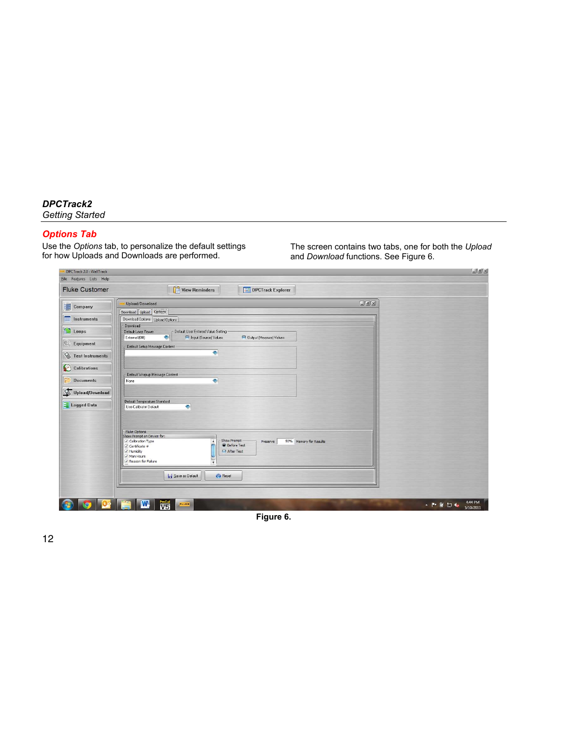## <span id="page-15-0"></span>*Options Tab*

Use the *Options* tab, to personalize the default settings for how Uploads and Downloads are performed.

The screen contains two tabs, one for both the *Upload*  and *Download* functions. See Figure 6.

| DPCTrack 2.0 : WallTrack                          |                                                                                                                                                                                                                                                       | $ x$                                 |
|---------------------------------------------------|-------------------------------------------------------------------------------------------------------------------------------------------------------------------------------------------------------------------------------------------------------|--------------------------------------|
| Eile Features Lists Help<br><b>Fluke Customer</b> | $V$ iew Reminders<br><b>THE DPCTrack Explorer</b>                                                                                                                                                                                                     |                                      |
|                                                   |                                                                                                                                                                                                                                                       |                                      |
| Company                                           | $G$ a $x$<br>Upload/Download<br>Download   Upload   Options                                                                                                                                                                                           |                                      |
| <b>THE Instruments</b>                            | Download Options   Upload Options                                                                                                                                                                                                                     |                                      |
| Loops                                             | Download<br>Default User Entered Value Setting<br>Default Loop Power<br>$\bullet$<br>External (Off)<br>Input (Source) Values<br>Output (Measure) Values                                                                                               |                                      |
| $\odot$<br>Equipment                              | Default Setup Message Content                                                                                                                                                                                                                         |                                      |
| Test Instruments                                  | $\bullet$                                                                                                                                                                                                                                             |                                      |
| Calibrations                                      | Default Wrapup Message Content                                                                                                                                                                                                                        |                                      |
| <b>Documents</b>                                  | $\left  \cdot \right $<br>None                                                                                                                                                                                                                        |                                      |
| Upload/Download                                   |                                                                                                                                                                                                                                                       |                                      |
| Logged Data                                       | Default Temperature Standard<br>$\bullet$<br>Use Calibrator Default                                                                                                                                                                                   |                                      |
|                                                   |                                                                                                                                                                                                                                                       |                                      |
|                                                   | <b>Fluke Options</b><br>Show Prompt on Device for:<br>Show Prompt<br>50% Memory for Results<br>Calibration Type<br>Preserve<br><b>C</b> Before Test<br>$\sqrt{ }$ Certificate #<br>After Test<br>√ Humidity<br>V Man Hours<br>Reason for Failure<br>¥ |                                      |
|                                                   | Save as Default<br><b>C</b> Reset                                                                                                                                                                                                                     |                                      |
|                                                   | ProCal<br>V5<br>W,<br><b>FLUKE</b>                                                                                                                                                                                                                    | 4:44 PM<br><b>AP管句板</b><br>5/10/2011 |

**Figure 6.**